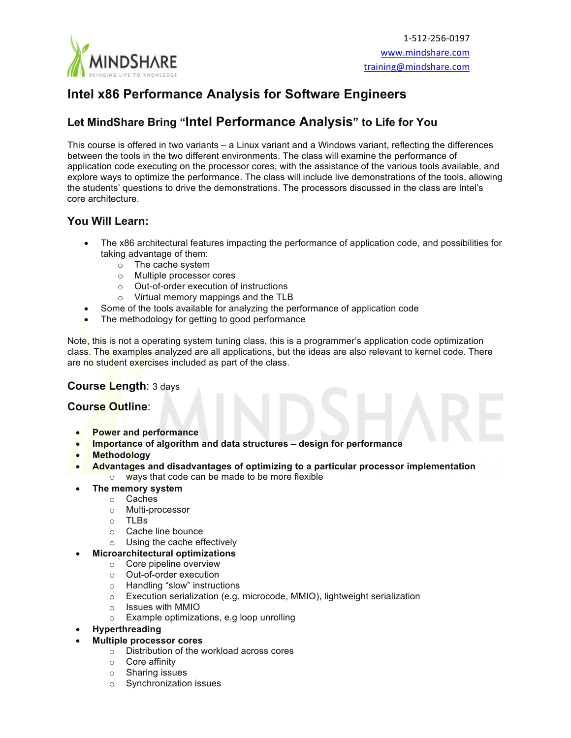

# **Intel x86 Performance Analysis for Software Engineers**

## **Let MindShare Bring "Intel Performance Analysis" to Life for You**

This course is offered in two variants – a Linux variant and a Windows variant, reflecting the differences between the tools in the two different environments. The class will examine the performance of application code executing on the processor cores, with the assistance of the various tools available, and explore ways to optimize the performance. The class will include live demonstrations of the tools, allowing the students' questions to drive the demonstrations. The processors discussed in the class are Intel's core architecture.

### **You Will Learn:**

- The x86 architectural features impacting the performance of application code, and possibilities for taking advantage of them:
	- o The cache system
	- o Multiple processor cores
	- o Out-of-order execution of instructions
	- o Virtual memory mappings and the TLB
- Some of the tools available for analyzing the performance of application code
- The methodology for getting to good performance

Note, this is not a operating system tuning class, this is a programmer's application code optimization class. The examples analyzed are all applications, but the ideas are also relevant to kernel code. There are no student exercises included as part of the class.

#### **Course Length**: 3 days

#### **Course Outline**:

- **Power and performance**
- **Importance of algorithm and data structures – design for performance**
- **Methodology**
- **Advantages and disadvantages of optimizing to a particular processor implementation**  $\circ$  ways that code can be made to be more flexible
- **The memory system**
	- o Caches
	- o Multi-processor
	- o TLBs
	- o Cache line bounce
	- o Using the cache effectively
- **Microarchitectural optimizations**
	- o Core pipeline overview
	- o Out-of-order execution
	- o Handling "slow" instructions
	- o Execution serialization (e.g. microcode, MMIO), lightweight serialization
	- o Issues with MMIO
	- o Example optimizations, e.g loop unrolling
- **Hyperthreading**
	- **Multiple processor cores**
		- o Distribution of the workload across cores
		- o Core affinity
		- o Sharing issues
		- o Synchronization issues